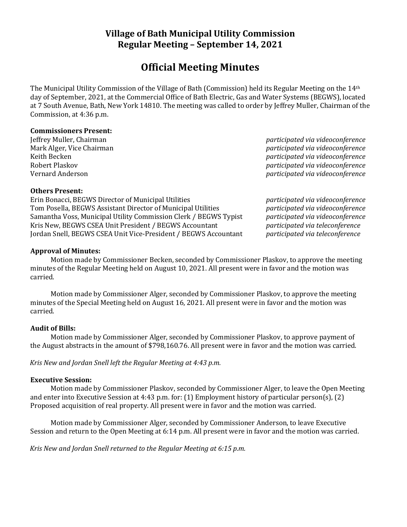# **Village of Bath Municipal Utility Commission Regular Meeting – September 14, 2021**

# **Official Meeting Minutes**

The Municipal Utility Commission of the Village of Bath (Commission) held its Regular Meeting on the 14th day of September, 2021, at the Commercial Office of Bath Electric, Gas and Water Systems (BEGWS), located at 7 South Avenue, Bath, New York 14810. The meeting was called to order by Jeffrey Muller, Chairman of the Commission, at 4:36 p.m.

### **Commissioners Present:**

Jeffrey Muller, Chairman *participated via videoconference* Mark Alger, Vice Chairman *participated via videoconference* Keith Becken *participated via videoconference* Robert Plaskov *participated via videoconference* Vernard Anderson *participated via videoconference*

### **Others Present:**

Erin Bonacci, BEGWS Director of Municipal Utilities *participated via videoconference* Tom Posella, BEGWS Assistant Director of Municipal Utilities *participated via videoconference* Samantha Voss, Municipal Utility Commission Clerk / BEGWS Typist *participated via videoconference* Kris New, BEGWS CSEA Unit President / BEGWS Accountant *participated via teleconference* Jordan Snell, BEGWS CSEA Unit Vice-President / BEGWS Accountant *participated via teleconference*

# **Approval of Minutes:**

Motion made by Commissioner Becken, seconded by Commissioner Plaskov, to approve the meeting minutes of the Regular Meeting held on August 10, 2021. All present were in favor and the motion was carried.

Motion made by Commissioner Alger, seconded by Commissioner Plaskov, to approve the meeting minutes of the Special Meeting held on August 16, 2021. All present were in favor and the motion was carried.

# **Audit of Bills:**

Motion made by Commissioner Alger, seconded by Commissioner Plaskov, to approve payment of the August abstracts in the amount of \$798,160.76. All present were in favor and the motion was carried.

*Kris New and Jordan Snell left the Regular Meeting at 4:43 p.m.*

#### **Executive Session:**

Motion made by Commissioner Plaskov, seconded by Commissioner Alger, to leave the Open Meeting and enter into Executive Session at 4:43 p.m. for: (1) Employment history of particular person(s), (2) Proposed acquisition of real property. All present were in favor and the motion was carried.

Motion made by Commissioner Alger, seconded by Commissioner Anderson, to leave Executive Session and return to the Open Meeting at 6:14 p.m. All present were in favor and the motion was carried.

*Kris New and Jordan Snell returned to the Regular Meeting at 6:15 p.m.*